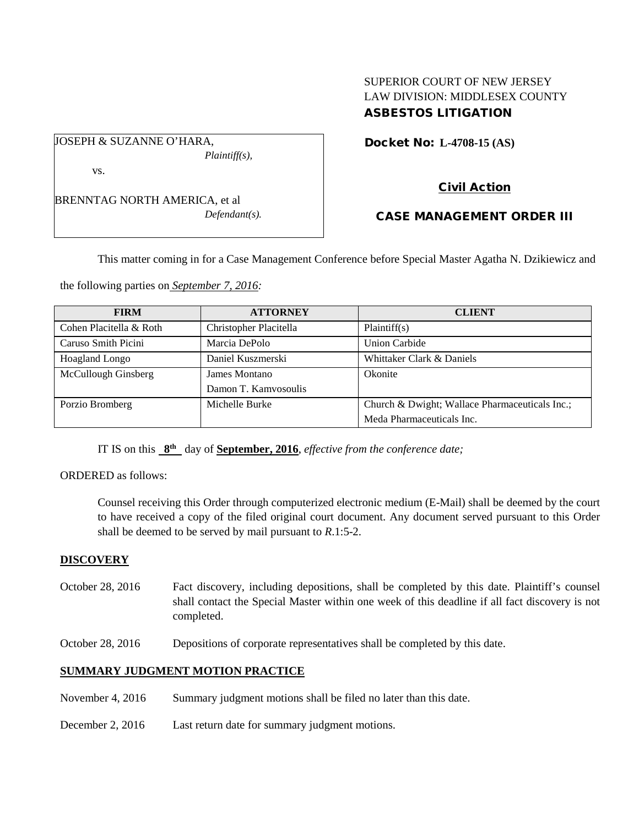## SUPERIOR COURT OF NEW JERSEY LAW DIVISION: MIDDLESEX COUNTY ASBESTOS LITIGATION

Docket No: **L-4708-15 (AS)** 

vs.

BRENNTAG NORTH AMERICA, et al *Defendant(s).* 

*Plaintiff(s),* 

JOSEPH & SUZANNE O'HARA,

# Civil Action

## CASE MANAGEMENT ORDER III

This matter coming in for a Case Management Conference before Special Master Agatha N. Dzikiewicz and

the following parties on *September 7, 2016:* 

| <b>FIRM</b>             | <b>ATTORNEY</b>        | <b>CLIENT</b>                                  |
|-------------------------|------------------------|------------------------------------------------|
| Cohen Placitella & Roth | Christopher Placitella | Plaintiff(s)                                   |
| Caruso Smith Picini     | Marcia DePolo          | Union Carbide                                  |
| <b>Hoagland Longo</b>   | Daniel Kuszmerski      | Whittaker Clark & Daniels                      |
| McCullough Ginsberg     | James Montano          | Okonite                                        |
|                         | Damon T. Kamyosoulis   |                                                |
| Porzio Bromberg         | Michelle Burke         | Church & Dwight; Wallace Pharmaceuticals Inc.; |
|                         |                        | Meda Pharmaceuticals Inc.                      |

IT IS on this **8th** day of **September, 2016**, *effective from the conference date;*

ORDERED as follows:

Counsel receiving this Order through computerized electronic medium (E-Mail) shall be deemed by the court to have received a copy of the filed original court document. Any document served pursuant to this Order shall be deemed to be served by mail pursuant to *R*.1:5-2.

### **DISCOVERY**

- October 28, 2016 Fact discovery, including depositions, shall be completed by this date. Plaintiff's counsel shall contact the Special Master within one week of this deadline if all fact discovery is not completed.
- October 28, 2016 Depositions of corporate representatives shall be completed by this date.

## **SUMMARY JUDGMENT MOTION PRACTICE**

- November 4, 2016 Summary judgment motions shall be filed no later than this date.
- December 2, 2016 Last return date for summary judgment motions.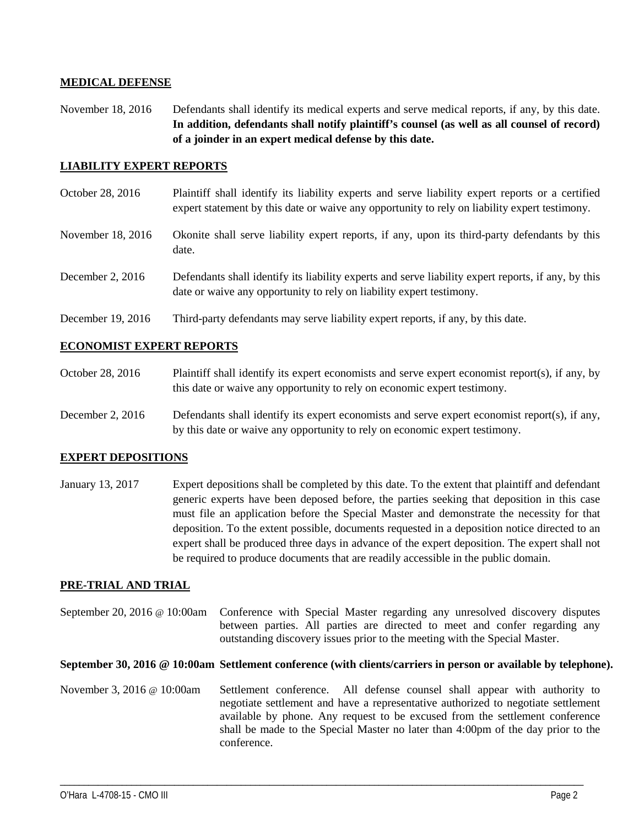### **MEDICAL DEFENSE**

November 18, 2016 Defendants shall identify its medical experts and serve medical reports, if any, by this date. **In addition, defendants shall notify plaintiff's counsel (as well as all counsel of record) of a joinder in an expert medical defense by this date.**

### **LIABILITY EXPERT REPORTS**

- October 28, 2016 Plaintiff shall identify its liability experts and serve liability expert reports or a certified expert statement by this date or waive any opportunity to rely on liability expert testimony.
- November 18, 2016 Okonite shall serve liability expert reports, if any, upon its third-party defendants by this date.
- December 2, 2016 Defendants shall identify its liability experts and serve liability expert reports, if any, by this date or waive any opportunity to rely on liability expert testimony.
- December 19, 2016 Third-party defendants may serve liability expert reports, if any, by this date.

### **ECONOMIST EXPERT REPORTS**

- October 28, 2016 Plaintiff shall identify its expert economists and serve expert economist report(s), if any, by this date or waive any opportunity to rely on economic expert testimony.
- December 2, 2016 Defendants shall identify its expert economists and serve expert economist report(s), if any, by this date or waive any opportunity to rely on economic expert testimony.

#### **EXPERT DEPOSITIONS**

January 13, 2017 Expert depositions shall be completed by this date. To the extent that plaintiff and defendant generic experts have been deposed before, the parties seeking that deposition in this case must file an application before the Special Master and demonstrate the necessity for that deposition. To the extent possible, documents requested in a deposition notice directed to an expert shall be produced three days in advance of the expert deposition. The expert shall not be required to produce documents that are readily accessible in the public domain.

### **PRE-TRIAL AND TRIAL**

September 20, 2016 @ 10:00am Conference with Special Master regarding any unresolved discovery disputes between parties. All parties are directed to meet and confer regarding any outstanding discovery issues prior to the meeting with the Special Master.

#### **September 30, 2016 @ 10:00am Settlement conference (with clients/carriers in person or available by telephone).**

November 3, 2016 @ 10:00am Settlement conference. All defense counsel shall appear with authority to negotiate settlement and have a representative authorized to negotiate settlement available by phone. Any request to be excused from the settlement conference shall be made to the Special Master no later than 4:00pm of the day prior to the conference.

\_\_\_\_\_\_\_\_\_\_\_\_\_\_\_\_\_\_\_\_\_\_\_\_\_\_\_\_\_\_\_\_\_\_\_\_\_\_\_\_\_\_\_\_\_\_\_\_\_\_\_\_\_\_\_\_\_\_\_\_\_\_\_\_\_\_\_\_\_\_\_\_\_\_\_\_\_\_\_\_\_\_\_\_\_\_\_\_\_\_\_\_\_\_\_\_\_\_\_\_\_\_\_\_\_\_\_\_\_\_